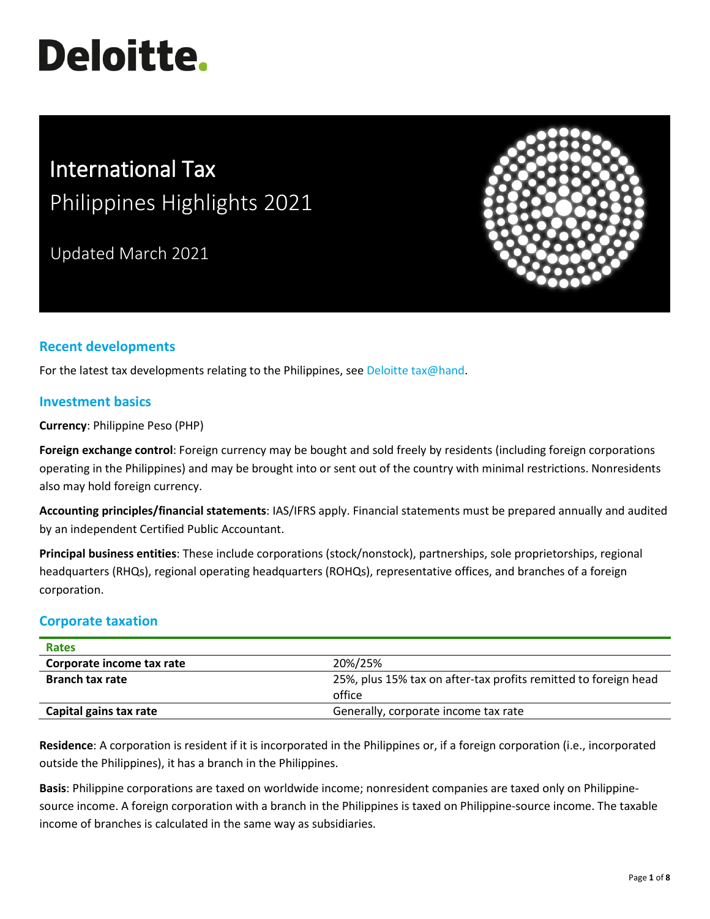# **Deloitte.**

# International Tax Philippines Highlights 2021

Updated March 2021



# **Recent developments**

For the latest tax developments relating to the Philippines, see [Deloitte tax@hand.](https://www.taxathand.com/world-news/Philippines)

#### **Investment basics**

**Currency**: Philippine Peso (PHP)

**Foreign exchange control**: Foreign currency may be bought and sold freely by residents (including foreign corporations operating in the Philippines) and may be brought into or sent out of the country with minimal restrictions. Nonresidents also may hold foreign currency.

**Accounting principles/financial statements**: IAS/IFRS apply. Financial statements must be prepared annually and audited by an independent Certified Public Accountant.

**Principal business entities**: These include corporations (stock/nonstock), partnerships, sole proprietorships, regional headquarters (RHQs), regional operating headquarters (ROHQs), representative offices, and branches of a foreign corporation.

#### **Corporate taxation**

| <b>Rates</b>              |                                                                 |
|---------------------------|-----------------------------------------------------------------|
| Corporate income tax rate | 20%/25%                                                         |
| <b>Branch tax rate</b>    | 25%, plus 15% tax on after-tax profits remitted to foreign head |
|                           | office                                                          |
| Capital gains tax rate    | Generally, corporate income tax rate                            |

**Residence**: A corporation is resident if it is incorporated in the Philippines or, if a foreign corporation (i.e., incorporated outside the Philippines), it has a branch in the Philippines.

**Basis**: Philippine corporations are taxed on worldwide income; nonresident companies are taxed only on Philippinesource income. A foreign corporation with a branch in the Philippines is taxed on Philippine-source income. The taxable income of branches is calculated in the same way as subsidiaries.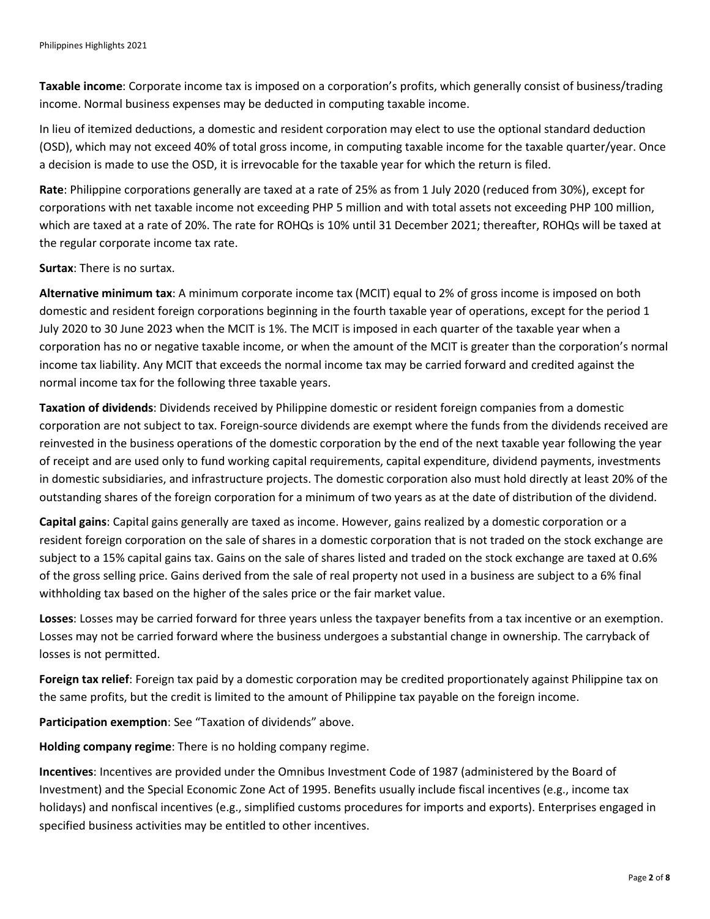**Taxable income**: Corporate income tax is imposed on a corporation's profits, which generally consist of business/trading income. Normal business expenses may be deducted in computing taxable income.

In lieu of itemized deductions, a domestic and resident corporation may elect to use the optional standard deduction (OSD), which may not exceed 40% of total gross income, in computing taxable income for the taxable quarter/year. Once a decision is made to use the OSD, it is irrevocable for the taxable year for which the return is filed.

**Rate**: Philippine corporations generally are taxed at a rate of 25% as from 1 July 2020 (reduced from 30%), except for corporations with net taxable income not exceeding PHP 5 million and with total assets not exceeding PHP 100 million, which are taxed at a rate of 20%. The rate for ROHQs is 10% until 31 December 2021; thereafter, ROHQs will be taxed at the regular corporate income tax rate.

**Surtax**: There is no surtax.

**Alternative minimum tax**: A minimum corporate income tax (MCIT) equal to 2% of gross income is imposed on both domestic and resident foreign corporations beginning in the fourth taxable year of operations, except for the period 1 July 2020 to 30 June 2023 when the MCIT is 1%. The MCIT is imposed in each quarter of the taxable year when a corporation has no or negative taxable income, or when the amount of the MCIT is greater than the corporation's normal income tax liability. Any MCIT that exceeds the normal income tax may be carried forward and credited against the normal income tax for the following three taxable years.

**Taxation of dividends**: Dividends received by Philippine domestic or resident foreign companies from a domestic corporation are not subject to tax. Foreign-source dividends are exempt where the funds from the dividends received are reinvested in the business operations of the domestic corporation by the end of the next taxable year following the year of receipt and are used only to fund working capital requirements, capital expenditure, dividend payments, investments in domestic subsidiaries, and infrastructure projects. The domestic corporation also must hold directly at least 20% of the outstanding shares of the foreign corporation for a minimum of two years as at the date of distribution of the dividend.

**Capital gains**: Capital gains generally are taxed as income. However, gains realized by a domestic corporation or a resident foreign corporation on the sale of shares in a domestic corporation that is not traded on the stock exchange are subject to a 15% capital gains tax. Gains on the sale of shares listed and traded on the stock exchange are taxed at 0.6% of the gross selling price. Gains derived from the sale of real property not used in a business are subject to a 6% final withholding tax based on the higher of the sales price or the fair market value.

**Losses**: Losses may be carried forward for three years unless the taxpayer benefits from a tax incentive or an exemption. Losses may not be carried forward where the business undergoes a substantial change in ownership. The carryback of losses is not permitted.

**Foreign tax relief**: Foreign tax paid by a domestic corporation may be credited proportionately against Philippine tax on the same profits, but the credit is limited to the amount of Philippine tax payable on the foreign income.

**Participation exemption**: See "Taxation of dividends" above.

**Holding company regime**: There is no holding company regime.

**Incentives**: Incentives are provided under the Omnibus Investment Code of 1987 (administered by the Board of Investment) and the Special Economic Zone Act of 1995. Benefits usually include fiscal incentives (e.g., income tax holidays) and nonfiscal incentives (e.g., simplified customs procedures for imports and exports). Enterprises engaged in specified business activities may be entitled to other incentives.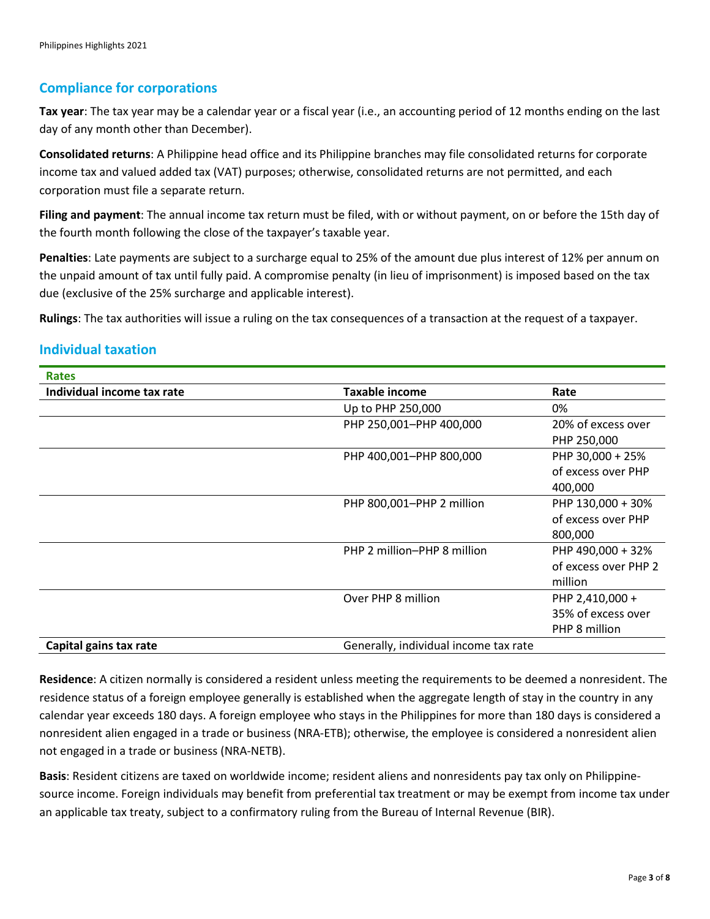## **Compliance for corporations**

**Tax year**: The tax year may be a calendar year or a fiscal year (i.e., an accounting period of 12 months ending on the last day of any month other than December).

**Consolidated returns**: A Philippine head office and its Philippine branches may file consolidated returns for corporate income tax and valued added tax (VAT) purposes; otherwise, consolidated returns are not permitted, and each corporation must file a separate return.

**Filing and payment**: The annual income tax return must be filed, with or without payment, on or before the 15th day of the fourth month following the close of the taxpayer's taxable year.

**Penalties**: Late payments are subject to a surcharge equal to 25% of the amount due plus interest of 12% per annum on the unpaid amount of tax until fully paid. A compromise penalty (in lieu of imprisonment) is imposed based on the tax due (exclusive of the 25% surcharge and applicable interest).

**Rulings**: The tax authorities will issue a ruling on the tax consequences of a transaction at the request of a taxpayer.

## **Individual taxation**

**Rates**

| Individual income tax rate | Taxable income                        | Rate                 |
|----------------------------|---------------------------------------|----------------------|
|                            | Up to PHP 250,000                     | 0%                   |
|                            | PHP 250,001-PHP 400,000               | 20% of excess over   |
|                            |                                       | PHP 250,000          |
|                            | PHP 400,001-PHP 800,000               | PHP 30,000 + 25%     |
|                            |                                       | of excess over PHP   |
|                            |                                       | 400,000              |
|                            | PHP 800,001-PHP 2 million             | PHP 130,000 + 30%    |
|                            |                                       | of excess over PHP   |
|                            |                                       | 800,000              |
|                            | PHP 2 million-PHP 8 million           | PHP 490,000 + 32%    |
|                            |                                       | of excess over PHP 2 |
|                            |                                       | million              |
|                            | Over PHP 8 million                    | PHP 2,410,000 +      |
|                            |                                       | 35% of excess over   |
|                            |                                       | PHP 8 million        |
| Capital gains tax rate     | Generally, individual income tax rate |                      |

**Residence**: A citizen normally is considered a resident unless meeting the requirements to be deemed a nonresident. The residence status of a foreign employee generally is established when the aggregate length of stay in the country in any calendar year exceeds 180 days. A foreign employee who stays in the Philippines for more than 180 days is considered a nonresident alien engaged in a trade or business (NRA-ETB); otherwise, the employee is considered a nonresident alien not engaged in a trade or business (NRA-NETB).

**Basis**: Resident citizens are taxed on worldwide income; resident aliens and nonresidents pay tax only on Philippinesource income. Foreign individuals may benefit from preferential tax treatment or may be exempt from income tax under an applicable tax treaty, subject to a confirmatory ruling from the Bureau of Internal Revenue (BIR).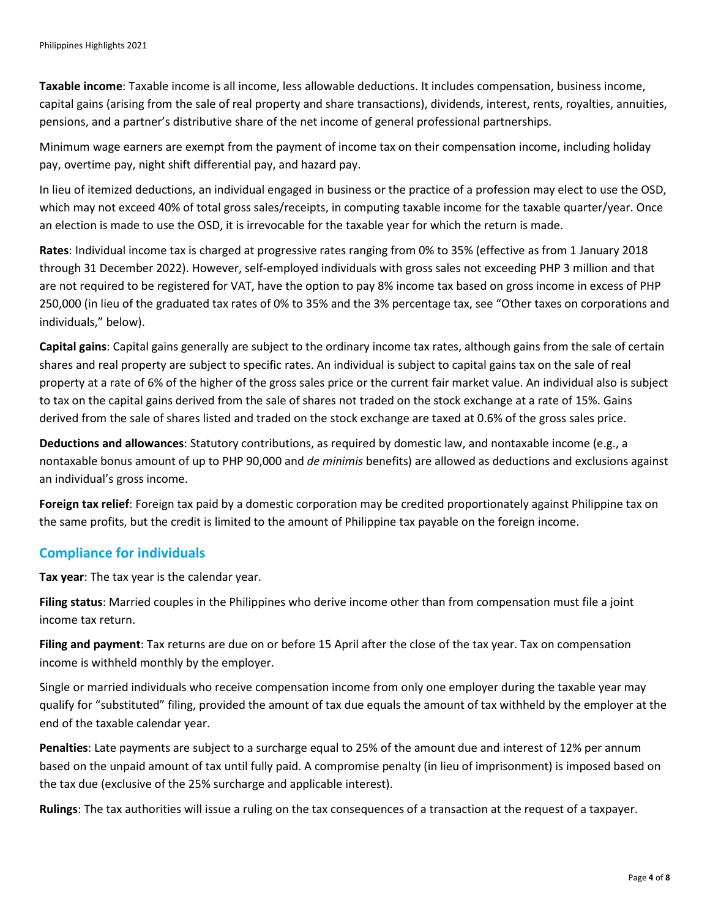**Taxable income**: Taxable income is all income, less allowable deductions. It includes compensation, business income, capital gains (arising from the sale of real property and share transactions), dividends, interest, rents, royalties, annuities, pensions, and a partner's distributive share of the net income of general professional partnerships.

Minimum wage earners are exempt from the payment of income tax on their compensation income, including holiday pay, overtime pay, night shift differential pay, and hazard pay.

In lieu of itemized deductions, an individual engaged in business or the practice of a profession may elect to use the OSD, which may not exceed 40% of total gross sales/receipts, in computing taxable income for the taxable quarter/year. Once an election is made to use the OSD, it is irrevocable for the taxable year for which the return is made.

**Rates**: Individual income tax is charged at progressive rates ranging from 0% to 35% (effective as from 1 January 2018 through 31 December 2022). However, self-employed individuals with gross sales not exceeding PHP 3 million and that are not required to be registered for VAT, have the option to pay 8% income tax based on gross income in excess of PHP 250,000 (in lieu of the graduated tax rates of 0% to 35% and the 3% percentage tax, see "Other taxes on corporations and individuals," below).

**Capital gains**: Capital gains generally are subject to the ordinary income tax rates, although gains from the sale of certain shares and real property are subject to specific rates. An individual is subject to capital gains tax on the sale of real property at a rate of 6% of the higher of the gross sales price or the current fair market value. An individual also is subject to tax on the capital gains derived from the sale of shares not traded on the stock exchange at a rate of 15%. Gains derived from the sale of shares listed and traded on the stock exchange are taxed at 0.6% of the gross sales price.

**Deductions and allowances**: Statutory contributions, as required by domestic law, and nontaxable income (e.g., a nontaxable bonus amount of up to PHP 90,000 and *de minimis* benefits) are allowed as deductions and exclusions against an individual's gross income.

**Foreign tax relief**: Foreign tax paid by a domestic corporation may be credited proportionately against Philippine tax on the same profits, but the credit is limited to the amount of Philippine tax payable on the foreign income.

#### **Compliance for individuals**

**Tax year**: The tax year is the calendar year.

**Filing status**: Married couples in the Philippines who derive income other than from compensation must file a joint income tax return.

**Filing and payment**: Tax returns are due on or before 15 April after the close of the tax year. Tax on compensation income is withheld monthly by the employer.

Single or married individuals who receive compensation income from only one employer during the taxable year may qualify for "substituted" filing, provided the amount of tax due equals the amount of tax withheld by the employer at the end of the taxable calendar year.

**Penalties**: Late payments are subject to a surcharge equal to 25% of the amount due and interest of 12% per annum based on the unpaid amount of tax until fully paid. A compromise penalty (in lieu of imprisonment) is imposed based on the tax due (exclusive of the 25% surcharge and applicable interest).

**Rulings**: The tax authorities will issue a ruling on the tax consequences of a transaction at the request of a taxpayer.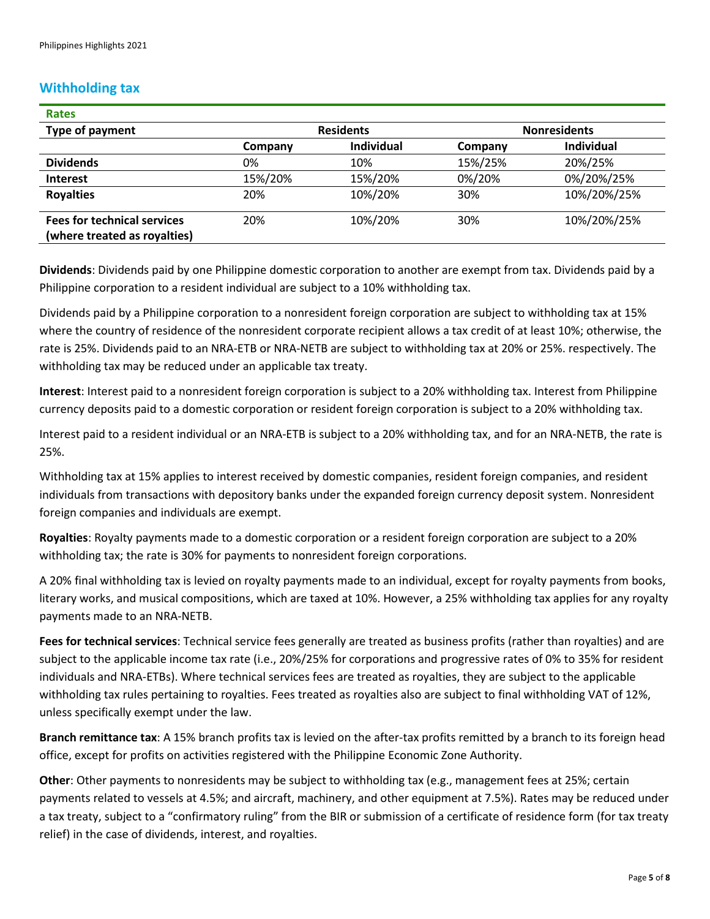#### **Withholding tax**

| <b>Rates</b>                                                       |                  |                   |                     |             |
|--------------------------------------------------------------------|------------------|-------------------|---------------------|-------------|
| Type of payment                                                    | <b>Residents</b> |                   | <b>Nonresidents</b> |             |
|                                                                    | Company          | <b>Individual</b> | Company             | Individual  |
| <b>Dividends</b>                                                   | 0%               | 10%               | 15%/25%             | 20%/25%     |
| <b>Interest</b>                                                    | 15%/20%          | 15%/20%           | 0%/20%              | 0%/20%/25%  |
| <b>Royalties</b>                                                   | 20%              | 10%/20%           | 30%                 | 10%/20%/25% |
| <b>Fees for technical services</b><br>(where treated as royalties) | 20%              | 10%/20%           | 30%                 | 10%/20%/25% |

**Dividends**: Dividends paid by one Philippine domestic corporation to another are exempt from tax. Dividends paid by a Philippine corporation to a resident individual are subject to a 10% withholding tax.

Dividends paid by a Philippine corporation to a nonresident foreign corporation are subject to withholding tax at 15% where the country of residence of the nonresident corporate recipient allows a tax credit of at least 10%; otherwise, the rate is 25%. Dividends paid to an NRA-ETB or NRA-NETB are subject to withholding tax at 20% or 25%. respectively. The withholding tax may be reduced under an applicable tax treaty.

**Interest**: Interest paid to a nonresident foreign corporation is subject to a 20% withholding tax. Interest from Philippine currency deposits paid to a domestic corporation or resident foreign corporation is subject to a 20% withholding tax.

Interest paid to a resident individual or an NRA-ETB is subject to a 20% withholding tax, and for an NRA-NETB, the rate is 25%.

Withholding tax at 15% applies to interest received by domestic companies, resident foreign companies, and resident individuals from transactions with depository banks under the expanded foreign currency deposit system. Nonresident foreign companies and individuals are exempt.

**Royalties**: Royalty payments made to a domestic corporation or a resident foreign corporation are subject to a 20% withholding tax; the rate is 30% for payments to nonresident foreign corporations.

A 20% final withholding tax is levied on royalty payments made to an individual, except for royalty payments from books, literary works, and musical compositions, which are taxed at 10%. However, a 25% withholding tax applies for any royalty payments made to an NRA-NETB.

**Fees for technical services**: Technical service fees generally are treated as business profits (rather than royalties) and are subject to the applicable income tax rate (i.e., 20%/25% for corporations and progressive rates of 0% to 35% for resident individuals and NRA-ETBs). Where technical services fees are treated as royalties, they are subject to the applicable withholding tax rules pertaining to royalties. Fees treated as royalties also are subject to final withholding VAT of 12%, unless specifically exempt under the law.

**Branch remittance tax**: A 15% branch profits tax is levied on the after-tax profits remitted by a branch to its foreign head office, except for profits on activities registered with the Philippine Economic Zone Authority.

**Other**: Other payments to nonresidents may be subject to withholding tax (e.g., management fees at 25%; certain payments related to vessels at 4.5%; and aircraft, machinery, and other equipment at 7.5%). Rates may be reduced under a tax treaty, subject to a "confirmatory ruling" from the BIR or submission of a certificate of residence form (for tax treaty relief) in the case of dividends, interest, and royalties.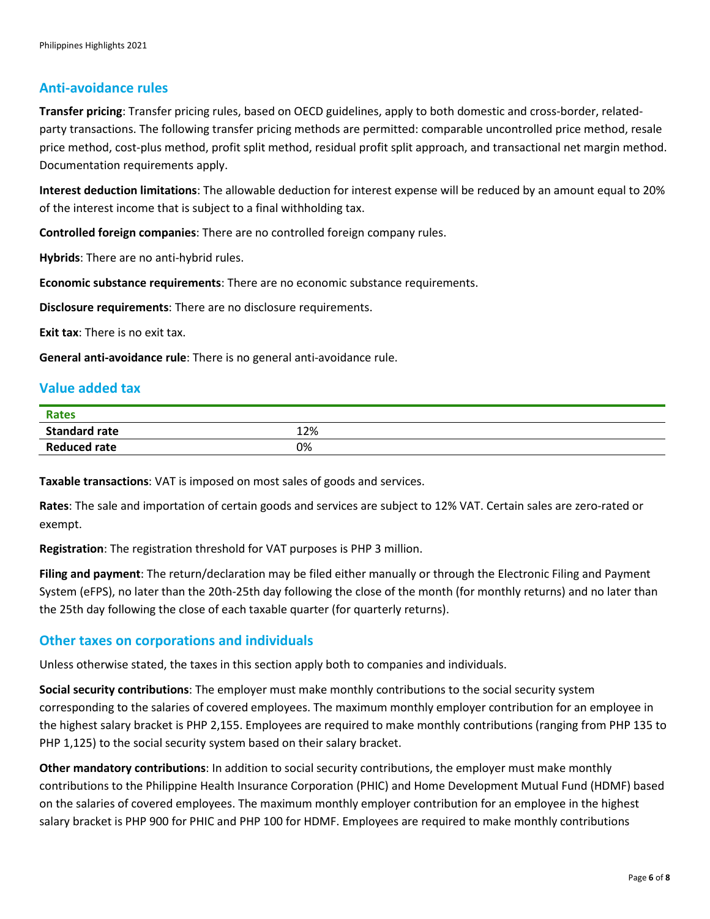#### **Anti-avoidance rules**

**Transfer pricing**: Transfer pricing rules, based on OECD guidelines, apply to both domestic and cross-border, relatedparty transactions. The following transfer pricing methods are permitted: comparable uncontrolled price method, resale price method, cost-plus method, profit split method, residual profit split approach, and transactional net margin method. Documentation requirements apply.

**Interest deduction limitations**: The allowable deduction for interest expense will be reduced by an amount equal to 20% of the interest income that is subject to a final withholding tax.

**Controlled foreign companies**: There are no controlled foreign company rules.

**Hybrids**: There are no anti-hybrid rules.

**Economic substance requirements**: There are no economic substance requirements.

**Disclosure requirements**: There are no disclosure requirements.

**Exit tax**: There is no exit tax.

**General anti-avoidance rule**: There is no general anti-avoidance rule.

#### **Value added tax**

| <b>Rates</b>         |     |
|----------------------|-----|
| <b>Standard rate</b> | 12% |
| <b>Reduced rate</b>  | 0%  |

**Taxable transactions**: VAT is imposed on most sales of goods and services.

**Rates**: The sale and importation of certain goods and services are subject to 12% VAT. Certain sales are zero-rated or exempt.

**Registration**: The registration threshold for VAT purposes is PHP 3 million.

**Filing and payment**: The return/declaration may be filed either manually or through the Electronic Filing and Payment System (eFPS), no later than the 20th-25th day following the close of the month (for monthly returns) and no later than the 25th day following the close of each taxable quarter (for quarterly returns).

#### **Other taxes on corporations and individuals**

Unless otherwise stated, the taxes in this section apply both to companies and individuals.

**Social security contributions**: The employer must make monthly contributions to the social security system corresponding to the salaries of covered employees. The maximum monthly employer contribution for an employee in the highest salary bracket is PHP 2,155. Employees are required to make monthly contributions (ranging from PHP 135 to PHP 1,125) to the social security system based on their salary bracket.

**Other mandatory contributions**: In addition to social security contributions, the employer must make monthly contributions to the Philippine Health Insurance Corporation (PHIC) and Home Development Mutual Fund (HDMF) based on the salaries of covered employees. The maximum monthly employer contribution for an employee in the highest salary bracket is PHP 900 for PHIC and PHP 100 for HDMF. Employees are required to make monthly contributions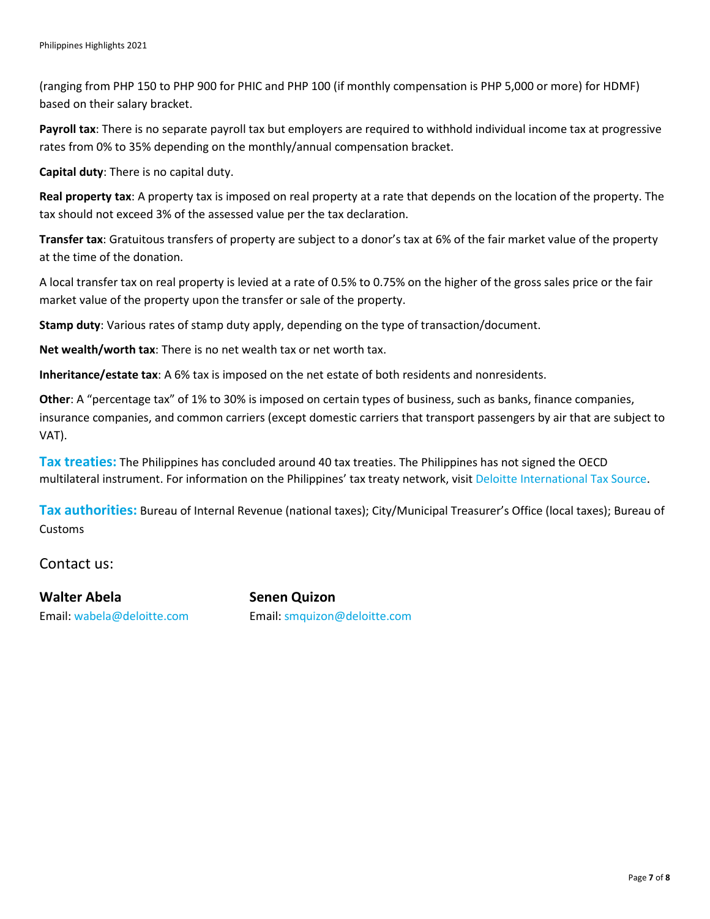(ranging from PHP 150 to PHP 900 for PHIC and PHP 100 (if monthly compensation is PHP 5,000 or more) for HDMF) based on their salary bracket.

**Payroll tax**: There is no separate payroll tax but employers are required to withhold individual income tax at progressive rates from 0% to 35% depending on the monthly/annual compensation bracket.

**Capital duty**: There is no capital duty.

**Real property tax**: A property tax is imposed on real property at a rate that depends on the location of the property. The tax should not exceed 3% of the assessed value per the tax declaration.

**Transfer tax**: Gratuitous transfers of property are subject to a donor's tax at 6% of the fair market value of the property at the time of the donation.

A local transfer tax on real property is levied at a rate of 0.5% to 0.75% on the higher of the gross sales price or the fair market value of the property upon the transfer or sale of the property.

**Stamp duty**: Various rates of stamp duty apply, depending on the type of transaction/document.

**Net wealth/worth tax**: There is no net wealth tax or net worth tax.

**Inheritance/estate tax**: A 6% tax is imposed on the net estate of both residents and nonresidents.

**Other**: A "percentage tax" of 1% to 30% is imposed on certain types of business, such as banks, finance companies, insurance companies, and common carriers (except domestic carriers that transport passengers by air that are subject to VAT).

**Tax treaties:** The Philippines has concluded around 40 tax treaties. The Philippines has not signed the OECD multilateral instrument. For information on the Philippines' tax treaty network, visit [Deloitte International Tax Source.](https://dits.deloitte.com/#Jurisdiction/12)

**Tax authorities:** Bureau of Internal Revenue (national taxes); City/Municipal Treasurer's Office (local taxes); Bureau of Customs

Contact us:

**Walter Abela Senen Quizon**

Email: [wabela@deloitte.com](mailto:wabela@deloitte.com) Email: [smquizon@deloitte.com](mailto:smquizon@deloitte.com)